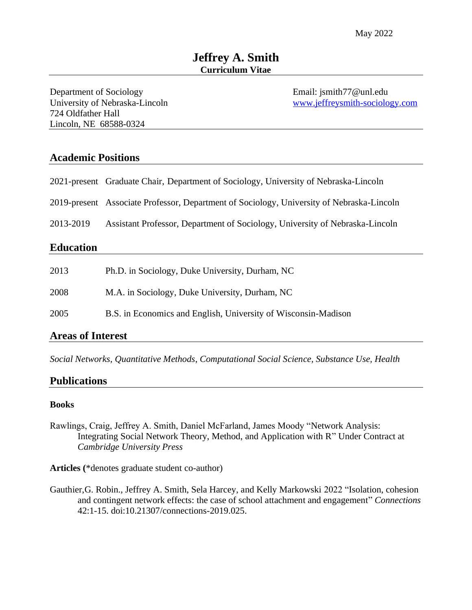Department of Sociology Email: jsmith77@unl.edu 724 Oldfather Hall Lincoln, NE 68588-0324

University of Nebraska-Lincoln [www.jeffreysmith-sociology.com](https://sites.google.com/site/socjasmith/)

# **Academic Positions**

| 2021-present Graduate Chair, Department of Sociology, University of Nebraska-Lincoln |
|--------------------------------------------------------------------------------------|
|--------------------------------------------------------------------------------------|

2019-present Associate Professor, Department of Sociology, University of Nebraska-Lincoln

2013-2019 Assistant Professor, Department of Sociology, University of Nebraska-Lincoln

## **Education**

| 2013 | Ph.D. in Sociology, Duke University, Durham, NC                |
|------|----------------------------------------------------------------|
| 2008 | M.A. in Sociology, Duke University, Durham, NC                 |
| 2005 | B.S. in Economics and English, University of Wisconsin-Madison |

#### **Areas of Interest**

*Social Networks, Quantitative Methods*, *Computational Social Science, Substance Use, Health*

## **Publications**

#### **Books**

Rawlings, Craig, Jeffrey A. Smith, Daniel McFarland, James Moody "Network Analysis: Integrating Social Network Theory, Method, and Application with R" Under Contract at *Cambridge University Press*

**Articles (**\*denotes graduate student co-author)

Gauthier,G. Robin., Jeffrey A. Smith, Sela Harcey, and Kelly Markowski 2022 "Isolation, cohesion and contingent network effects: the case of school attachment and engagement" *Connections* 42:1-15. doi:10.21307/connections-2019.025.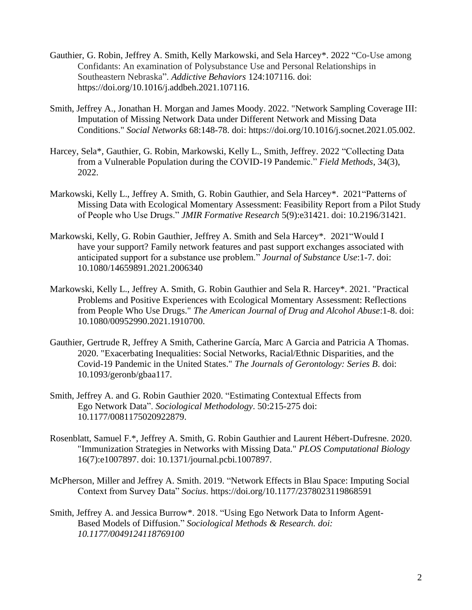- Gauthier, G. Robin, Jeffrey A. Smith, Kelly Markowski, and Sela Harcey\*. 2022 "Co-Use among Confidants: An examination of Polysubstance Use and Personal Relationships in Southeastern Nebraska". *Addictive Behaviors* 124:107116. doi: https://doi.org/10.1016/j.addbeh.2021.107116.
- Smith, Jeffrey A., Jonathan H. Morgan and James Moody. 2022. "Network Sampling Coverage III: Imputation of Missing Network Data under Different Network and Missing Data Conditions." *Social Networks* 68:148-78. doi: https://doi.org/10.1016/j.socnet.2021.05.002.
- Harcey, Sela\*, Gauthier, G. Robin, Markowski, Kelly L., Smith, Jeffrey. 2022 "Collecting Data from a Vulnerable Population during the COVID-19 Pandemic." *Field Methods*, 34(3), 2022.
- Markowski, Kelly L., Jeffrey A. Smith, G. Robin Gauthier, and Sela Harcey\*. 2021"Patterns of Missing Data with Ecological Momentary Assessment: Feasibility Report from a Pilot Study of People who Use Drugs." *JMIR Formative Research* 5(9):e31421. doi: 10.2196/31421*.*
- Markowski, Kelly, G. Robin Gauthier, Jeffrey A. Smith and Sela Harcey\*. 2021"Would I have your support? Family network features and past support exchanges associated with anticipated support for a substance use problem." *Journal of Substance Use*:1-7. doi: 10.1080/14659891.2021.2006340
- Markowski, Kelly L., Jeffrey A. Smith, G. Robin Gauthier and Sela R. Harcey\*. 2021. "Practical Problems and Positive Experiences with Ecological Momentary Assessment: Reflections from People Who Use Drugs." *The American Journal of Drug and Alcohol Abuse*:1-8. doi: 10.1080/00952990.2021.1910700.
- Gauthier, Gertrude R, Jeffrey A Smith, Catherine García, Marc A Garcia and Patricia A Thomas. 2020. "Exacerbating Inequalities: Social Networks, Racial/Ethnic Disparities, and the Covid-19 Pandemic in the United States." *The Journals of Gerontology: Series B*. doi: 10.1093/geronb/gbaa117.
- Smith, Jeffrey A. and G. Robin Gauthier 2020. "Estimating Contextual Effects from Ego Network Data". *Sociological Methodology*. 50:215-275 doi: 10.1177/0081175020922879.
- Rosenblatt, Samuel F.\*, Jeffrey A. Smith, G. Robin Gauthier and Laurent Hébert-Dufresne. 2020. "Immunization Strategies in Networks with Missing Data." *PLOS Computational Biology* 16(7):e1007897. doi: 10.1371/journal.pcbi.1007897.
- McPherson, Miller and Jeffrey A. Smith. 2019. "Network Effects in Blau Space: Imputing Social Context from Survey Data" *Socius*. https://doi.org/10.1177/2378023119868591
- Smith, Jeffrey A. and Jessica Burrow\*. 2018. "Using Ego Network Data to Inform Agent-Based Models of Diffusion." *Sociological Methods & Research. doi: 10.1177/0049124118769100*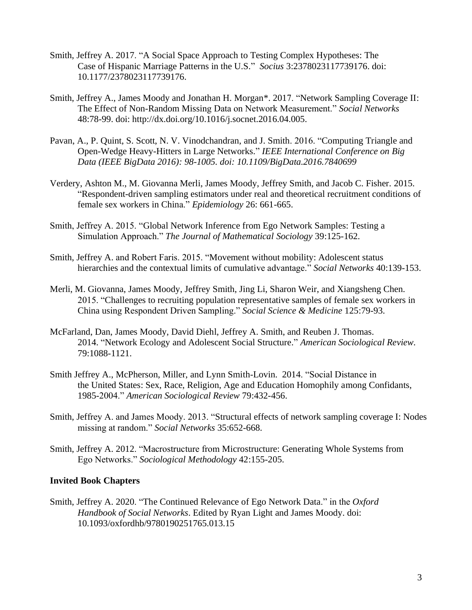- Smith, Jeffrey A. 2017. "A Social Space Approach to Testing Complex Hypotheses: The Case of Hispanic Marriage Patterns in the U.S." *Socius* 3:2378023117739176. doi: 10.1177/2378023117739176.
- Smith, Jeffrey A., James Moody and Jonathan H. Morgan\*. 2017. "Network Sampling Coverage II: The Effect of Non-Random Missing Data on Network Measurement." *Social Networks* 48:78-99. doi: http://dx.doi.org/10.1016/j.socnet.2016.04.005.
- Pavan, A., P. Quint, S. Scott, N. V. Vinodchandran, and J. Smith. 2016. "Computing Triangle and Open-Wedge Heavy-Hitters in Large Networks." *IEEE International Conference on Big Data (IEEE BigData 2016): 98-1005. doi: 10.1109/BigData.2016.7840699*
- Verdery, Ashton M., M. Giovanna Merli, James Moody, Jeffrey Smith, and Jacob C. Fisher. 2015. "Respondent-driven sampling estimators under real and theoretical recruitment conditions of female sex workers in China." *Epidemiology* 26: 661-665.
- Smith, Jeffrey A. 2015. "Global Network Inference from Ego Network Samples: Testing a Simulation Approach." *The Journal of Mathematical Sociology* 39:125-162.
- Smith, Jeffrey A. and Robert Faris. 2015. "Movement without mobility: Adolescent status hierarchies and the contextual limits of cumulative advantage." *Social Networks* 40:139-153.
- Merli, M. Giovanna, James Moody, Jeffrey Smith, Jing Li, Sharon Weir, and Xiangsheng Chen. 2015. "Challenges to recruiting population representative samples of female sex workers in China using Respondent Driven Sampling." *Social Science & Medicine* 125:79-93.
- McFarland, Dan, James Moody, David Diehl, Jeffrey A. Smith, and Reuben J. Thomas. 2014. "Network Ecology and Adolescent Social Structure." *American Sociological Review.* 79:1088-1121.
- Smith Jeffrey A., McPherson, Miller, and Lynn Smith-Lovin. 2014. "Social Distance in the United States: Sex, Race, Religion, Age and Education Homophily among Confidants, 1985-2004." *American Sociological Review* 79:432-456.
- Smith, Jeffrey A. and James Moody. 2013. "Structural effects of network sampling coverage I: Nodes missing at random." *Social Networks* 35:652-668.
- Smith, Jeffrey A. 2012. "Macrostructure from Microstructure: Generating Whole Systems from Ego Networks." *Sociological Methodology* 42:155-205.

# **Invited Book Chapters**

Smith, Jeffrey A. 2020. "The Continued Relevance of Ego Network Data." in the *Oxford Handbook of Social Networks*. Edited by Ryan Light and James Moody. doi: 10.1093/oxfordhb/9780190251765.013.15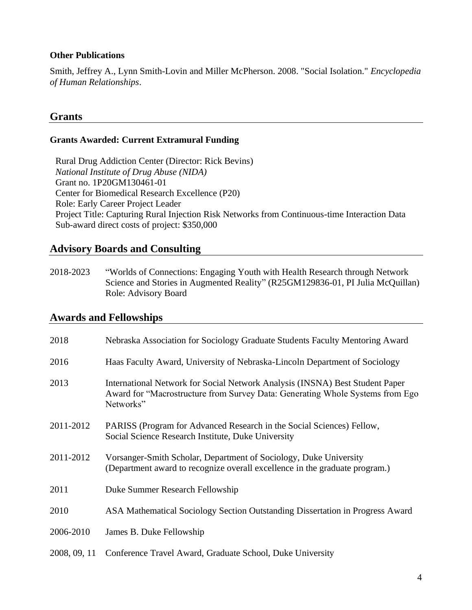## **Other Publications**

Smith, Jeffrey A., Lynn Smith-Lovin and Miller McPherson. 2008. "Social Isolation." *Encyclopedia of Human Relationships*.

# **Grants**

### **Grants Awarded: Current Extramural Funding**

Rural Drug Addiction Center (Director: Rick Bevins) *National Institute of Drug Abuse (NIDA)* Grant no. 1P20GM130461-01 Center for Biomedical Research Excellence (P20) Role: Early Career Project Leader Project Title: Capturing Rural Injection Risk Networks from Continuous-time Interaction Data Sub-award direct costs of project: \$350,000

# **Advisory Boards and Consulting**

2018-2023 "Worlds of Connections: Engaging Youth with Health Research through Network Science and Stories in Augmented Reality" (R25GM129836-01, PI Julia McQuillan) Role: Advisory Board

# **Awards and Fellowships**

| 2018         | Nebraska Association for Sociology Graduate Students Faculty Mentoring Award                                                                                               |
|--------------|----------------------------------------------------------------------------------------------------------------------------------------------------------------------------|
| 2016         | Haas Faculty Award, University of Nebraska-Lincoln Department of Sociology                                                                                                 |
| 2013         | International Network for Social Network Analysis (INSNA) Best Student Paper<br>Award for "Macrostructure from Survey Data: Generating Whole Systems from Ego<br>Networks" |
| 2011-2012    | PARISS (Program for Advanced Research in the Social Sciences) Fellow,<br>Social Science Research Institute, Duke University                                                |
| 2011-2012    | Vorsanger-Smith Scholar, Department of Sociology, Duke University<br>(Department award to recognize overall excellence in the graduate program.)                           |
| 2011         | Duke Summer Research Fellowship                                                                                                                                            |
| 2010         | ASA Mathematical Sociology Section Outstanding Dissertation in Progress Award                                                                                              |
| 2006-2010    | James B. Duke Fellowship                                                                                                                                                   |
| 2008, 09, 11 | Conference Travel Award, Graduate School, Duke University                                                                                                                  |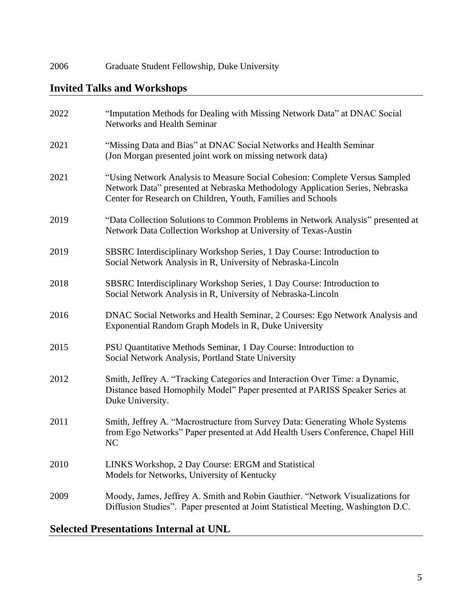2006 Graduate Student Fellowship, Duke University

# **Invited Talks and Workshops**

| 2022 | "Imputation Methods for Dealing with Missing Network Data" at DNAC Social<br>Networks and Health Seminar                                                                                                                    |
|------|-----------------------------------------------------------------------------------------------------------------------------------------------------------------------------------------------------------------------------|
| 2021 | "Missing Data and Bias" at DNAC Social Networks and Health Seminar<br>(Jon Morgan presented joint work on missing network data)                                                                                             |
| 2021 | "Using Network Analysis to Measure Social Cohesion: Complete Versus Sampled<br>Network Data" presented at Nebraska Methodology Application Series, Nebraska<br>Center for Research on Children, Youth, Families and Schools |
| 2019 | "Data Collection Solutions to Common Problems in Network Analysis" presented at<br>Network Data Collection Workshop at University of Texas-Austin                                                                           |
| 2019 | SBSRC Interdisciplinary Workshop Series, 1 Day Course: Introduction to<br>Social Network Analysis in R, University of Nebraska-Lincoln                                                                                      |
| 2018 | SBSRC Interdisciplinary Workshop Series, 1 Day Course: Introduction to<br>Social Network Analysis in R, University of Nebraska-Lincoln                                                                                      |
| 2016 | DNAC Social Networks and Health Seminar, 2 Courses: Ego Network Analysis and<br>Exponential Random Graph Models in R, Duke University                                                                                       |
| 2015 | PSU Quantitative Methods Seminar, 1 Day Course: Introduction to<br>Social Network Analysis, Portland State University                                                                                                       |
| 2012 | Smith, Jeffrey A. "Tracking Categories and Interaction Over Time: a Dynamic,<br>Distance based Homophily Model" Paper presented at PARISS Speaker Series at<br>Duke University.                                             |
| 2011 | Smith, Jeffrey A. "Macrostructure from Survey Data: Generating Whole Systems<br>from Ego Networks" Paper presented at Add Health Users Conference, Chapel Hill<br>NC                                                        |
| 2010 | LINKS Workshop, 2 Day Course: ERGM and Statistical<br>Models for Networks, University of Kentucky                                                                                                                           |
| 2009 | Moody, James, Jeffrey A. Smith and Robin Gauthier. "Network Visualizations for<br>Diffusion Studies". Paper presented at Joint Statistical Meeting, Washington D.C.                                                         |

# **Selected Presentations Internal at UNL**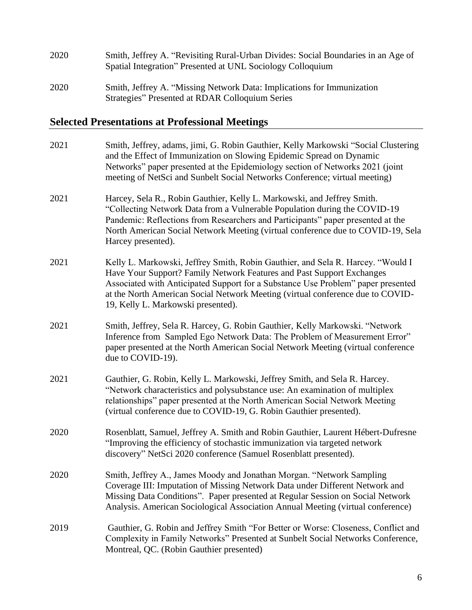| 2020 | Smith, Jeffrey A. "Revisiting Rural-Urban Divides: Social Boundaries in an Age of<br>Spatial Integration" Presented at UNL Sociology Colloquium |
|------|-------------------------------------------------------------------------------------------------------------------------------------------------|
| 2020 | Smith, Jeffrey A. "Missing Network Data: Implications for Immunization<br>Strategies" Presented at RDAR Colloquium Series                       |

# **Selected Presentations at Professional Meetings**

| 2021 | Smith, Jeffrey, adams, jimi, G. Robin Gauthier, Kelly Markowski "Social Clustering<br>and the Effect of Immunization on Slowing Epidemic Spread on Dynamic<br>Networks" paper presented at the Epidemiology section of Networks 2021 (joint<br>meeting of NetSci and Sunbelt Social Networks Conference; virtual meeting)                                            |
|------|----------------------------------------------------------------------------------------------------------------------------------------------------------------------------------------------------------------------------------------------------------------------------------------------------------------------------------------------------------------------|
| 2021 | Harcey, Sela R., Robin Gauthier, Kelly L. Markowski, and Jeffrey Smith.<br>"Collecting Network Data from a Vulnerable Population during the COVID-19<br>Pandemic: Reflections from Researchers and Participants" paper presented at the<br>North American Social Network Meeting (virtual conference due to COVID-19, Sela<br>Harcey presented).                     |
| 2021 | Kelly L. Markowski, Jeffrey Smith, Robin Gauthier, and Sela R. Harcey. "Would I<br>Have Your Support? Family Network Features and Past Support Exchanges<br>Associated with Anticipated Support for a Substance Use Problem" paper presented<br>at the North American Social Network Meeting (virtual conference due to COVID-<br>19, Kelly L. Markowski presented). |
| 2021 | Smith, Jeffrey, Sela R. Harcey, G. Robin Gauthier, Kelly Markowski. "Network<br>Inference from Sampled Ego Network Data: The Problem of Measurement Error"<br>paper presented at the North American Social Network Meeting (virtual conference<br>due to COVID-19).                                                                                                  |
| 2021 | Gauthier, G. Robin, Kelly L. Markowski, Jeffrey Smith, and Sela R. Harcey.<br>"Network characteristics and polysubstance use: An examination of multiplex<br>relationships" paper presented at the North American Social Network Meeting<br>(virtual conference due to COVID-19, G. Robin Gauthier presented).                                                       |
| 2020 | Rosenblatt, Samuel, Jeffrey A. Smith and Robin Gauthier, Laurent Hébert-Dufresne<br>"Improving the efficiency of stochastic immunization via targeted network<br>discovery" NetSci 2020 conference (Samuel Rosenblatt presented).                                                                                                                                    |
| 2020 | Smith, Jeffrey A., James Moody and Jonathan Morgan. "Network Sampling<br>Coverage III: Imputation of Missing Network Data under Different Network and<br>Missing Data Conditions". Paper presented at Regular Session on Social Network<br>Analysis. American Sociological Association Annual Meeting (virtual conference)                                           |
| 2019 | Gauthier, G. Robin and Jeffrey Smith "For Better or Worse: Closeness, Conflict and<br>Complexity in Family Networks" Presented at Sunbelt Social Networks Conference,<br>Montreal, QC. (Robin Gauthier presented)                                                                                                                                                    |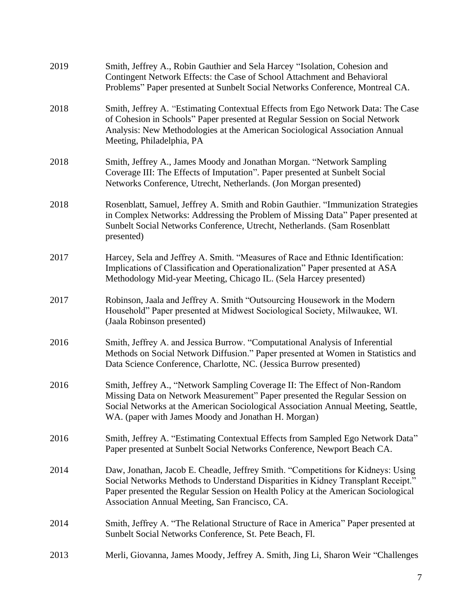| 2019 | Smith, Jeffrey A., Robin Gauthier and Sela Harcey "Isolation, Cohesion and<br>Contingent Network Effects: the Case of School Attachment and Behavioral<br>Problems" Paper presented at Sunbelt Social Networks Conference, Montreal CA.                                                                     |
|------|-------------------------------------------------------------------------------------------------------------------------------------------------------------------------------------------------------------------------------------------------------------------------------------------------------------|
| 2018 | Smith, Jeffrey A. "Estimating Contextual Effects from Ego Network Data: The Case<br>of Cohesion in Schools" Paper presented at Regular Session on Social Network<br>Analysis: New Methodologies at the American Sociological Association Annual<br>Meeting, Philadelphia, PA                                |
| 2018 | Smith, Jeffrey A., James Moody and Jonathan Morgan. "Network Sampling<br>Coverage III: The Effects of Imputation". Paper presented at Sunbelt Social<br>Networks Conference, Utrecht, Netherlands. (Jon Morgan presented)                                                                                   |
| 2018 | Rosenblatt, Samuel, Jeffrey A. Smith and Robin Gauthier. "Immunization Strategies<br>in Complex Networks: Addressing the Problem of Missing Data" Paper presented at<br>Sunbelt Social Networks Conference, Utrecht, Netherlands. (Sam Rosenblatt<br>presented)                                             |
| 2017 | Harcey, Sela and Jeffrey A. Smith. "Measures of Race and Ethnic Identification:<br>Implications of Classification and Operationalization" Paper presented at ASA<br>Methodology Mid-year Meeting, Chicago IL. (Sela Harcey presented)                                                                       |
| 2017 | Robinson, Jaala and Jeffrey A. Smith "Outsourcing Housework in the Modern<br>Household" Paper presented at Midwest Sociological Society, Milwaukee, WI.<br>(Jaala Robinson presented)                                                                                                                       |
| 2016 | Smith, Jeffrey A. and Jessica Burrow. "Computational Analysis of Inferential<br>Methods on Social Network Diffusion." Paper presented at Women in Statistics and<br>Data Science Conference, Charlotte, NC. (Jessica Burrow presented)                                                                      |
| 2016 | Smith, Jeffrey A., "Network Sampling Coverage II: The Effect of Non-Random<br>Missing Data on Network Measurement" Paper presented the Regular Session on<br>Social Networks at the American Sociological Association Annual Meeting, Seattle,<br>WA. (paper with James Moody and Jonathan H. Morgan)       |
| 2016 | Smith, Jeffrey A. "Estimating Contextual Effects from Sampled Ego Network Data"<br>Paper presented at Sunbelt Social Networks Conference, Newport Beach CA.                                                                                                                                                 |
| 2014 | Daw, Jonathan, Jacob E. Cheadle, Jeffrey Smith. "Competitions for Kidneys: Using<br>Social Networks Methods to Understand Disparities in Kidney Transplant Receipt."<br>Paper presented the Regular Session on Health Policy at the American Sociological<br>Association Annual Meeting, San Francisco, CA. |
| 2014 | Smith, Jeffrey A. "The Relational Structure of Race in America" Paper presented at<br>Sunbelt Social Networks Conference, St. Pete Beach, Fl.                                                                                                                                                               |
| 2013 | Merli, Giovanna, James Moody, Jeffrey A. Smith, Jing Li, Sharon Weir "Challenges"                                                                                                                                                                                                                           |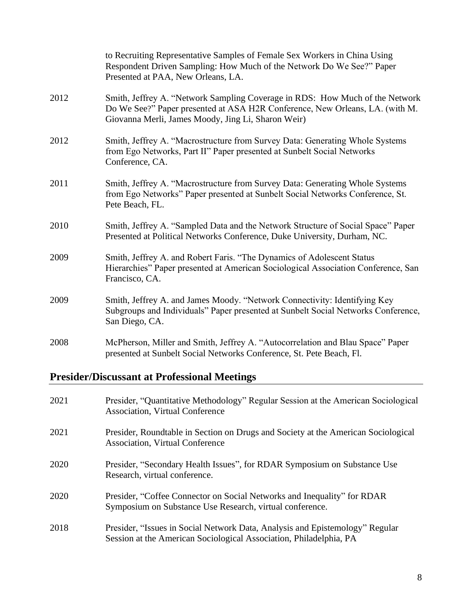|      | to Recruiting Representative Samples of Female Sex Workers in China Using<br>Respondent Driven Sampling: How Much of the Network Do We See?" Paper<br>Presented at PAA, New Orleans, LA.                           |
|------|--------------------------------------------------------------------------------------------------------------------------------------------------------------------------------------------------------------------|
| 2012 | Smith, Jeffrey A. "Network Sampling Coverage in RDS: How Much of the Network<br>Do We See?" Paper presented at ASA H2R Conference, New Orleans, LA. (with M.<br>Giovanna Merli, James Moody, Jing Li, Sharon Weir) |
| 2012 | Smith, Jeffrey A. "Macrostructure from Survey Data: Generating Whole Systems<br>from Ego Networks, Part II" Paper presented at Sunbelt Social Networks<br>Conference, CA.                                          |
| 2011 | Smith, Jeffrey A. "Macrostructure from Survey Data: Generating Whole Systems<br>from Ego Networks" Paper presented at Sunbelt Social Networks Conference, St.<br>Pete Beach, FL.                                   |
| 2010 | Smith, Jeffrey A. "Sampled Data and the Network Structure of Social Space" Paper<br>Presented at Political Networks Conference, Duke University, Durham, NC.                                                       |
| 2009 | Smith, Jeffrey A. and Robert Faris. "The Dynamics of Adolescent Status<br>Hierarchies" Paper presented at American Sociological Association Conference, San<br>Francisco, CA.                                      |
| 2009 | Smith, Jeffrey A. and James Moody. "Network Connectivity: Identifying Key<br>Subgroups and Individuals" Paper presented at Sunbelt Social Networks Conference,<br>San Diego, CA.                                   |
| 2008 | McPherson, Miller and Smith, Jeffrey A. "Autocorrelation and Blau Space" Paper<br>presented at Sunbelt Social Networks Conference, St. Pete Beach, Fl.                                                             |

# **Presider/Discussant at Professional Meetings**

| 2021 | Presider, "Quantitative Methodology" Regular Session at the American Sociological<br><b>Association, Virtual Conference</b>                        |
|------|----------------------------------------------------------------------------------------------------------------------------------------------------|
| 2021 | Presider, Roundtable in Section on Drugs and Society at the American Sociological<br><b>Association, Virtual Conference</b>                        |
| 2020 | Presider, "Secondary Health Issues", for RDAR Symposium on Substance Use<br>Research, virtual conference.                                          |
| 2020 | Presider, "Coffee Connector on Social Networks and Inequality" for RDAR<br>Symposium on Substance Use Research, virtual conference.                |
| 2018 | Presider, "Issues in Social Network Data, Analysis and Epistemology" Regular<br>Session at the American Sociological Association, Philadelphia, PA |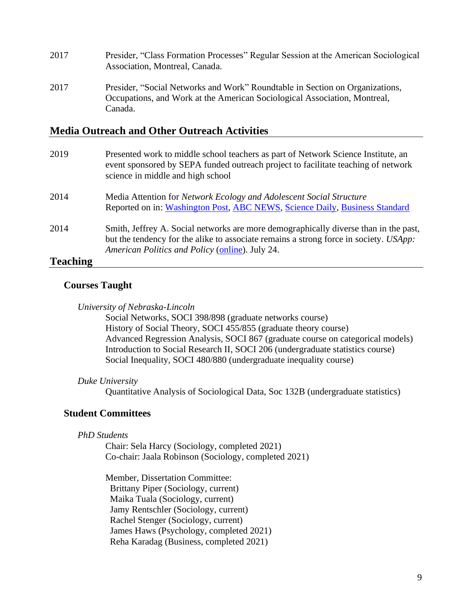- 2017 Presider, "Class Formation Processes" Regular Session at the American Sociological Association, Montreal, Canada.
- 2017 Presider, "Social Networks and Work" Roundtable in Section on Organizations, Occupations, and Work at the American Sociological Association, Montreal, Canada.

# **Media Outreach and Other Outreach Activities**

| 2019            | Presented work to middle school teachers as part of Network Science Institute, an<br>event sponsored by SEPA funded outreach project to facilitate teaching of network<br>science in middle and high school                      |
|-----------------|----------------------------------------------------------------------------------------------------------------------------------------------------------------------------------------------------------------------------------|
| 2014            | Media Attention for Network Ecology and Adolescent Social Structure<br>Reported on in: Washington Post, ABC NEWS, Science Daily, Business Standard                                                                               |
| 2014            | Smith, Jeffrey A. Social networks are more demographically diverse than in the past,<br>but the tendency for the alike to associate remains a strong force in society. USApp:<br>American Politics and Policy (online). July 24. |
| <b>Teaching</b> |                                                                                                                                                                                                                                  |

# **Courses Taught**

|  | University of Nebraska-Lincoln |
|--|--------------------------------|
|  |                                |

Social Networks, SOCI 398/898 (graduate networks course) History of Social Theory, SOCI 455/855 (graduate theory course) Advanced Regression Analysis, SOCI 867 (graduate course on categorical models) Introduction to Social Research II, SOCI 206 (undergraduate statistics course) Social Inequality, SOCI 480/880 (undergraduate inequality course)

#### *Duke University*

Quantitative Analysis of Sociological Data, Soc 132B (undergraduate statistics)

#### **Student Committees**

*PhD Students*

Chair: Sela Harcy (Sociology, completed 2021) Co-chair: Jaala Robinson (Sociology, completed 2021)

Member, Dissertation Committee: Brittany Piper (Sociology, current) Maika Tuala (Sociology, current) Jamy Rentschler (Sociology, current) Rachel Stenger (Sociology, current) James Haws (Psychology, completed 2021) Reha Karadag (Business, completed 2021)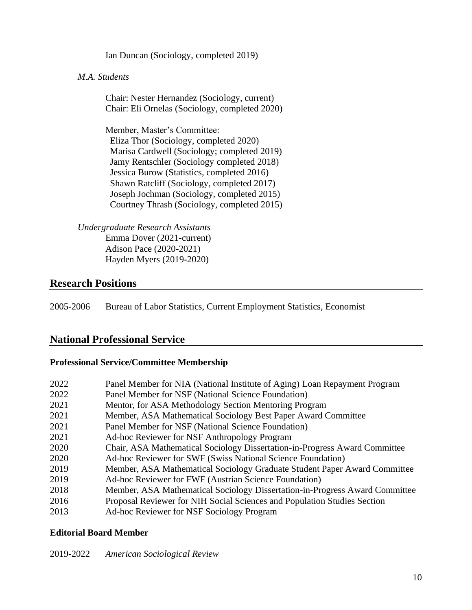Ian Duncan (Sociology, completed 2019)

### *M.A. Students*

Chair: Nester Hernandez (Sociology, current) Chair: Eli Ornelas (Sociology, completed 2020)

Member, Master's Committee: Eliza Thor (Sociology, completed 2020) Marisa Cardwell (Sociology; completed 2019) Jamy Rentschler (Sociology completed 2018) Jessica Burow (Statistics, completed 2016) Shawn Ratcliff (Sociology, completed 2017) Joseph Jochman (Sociology, completed 2015) Courtney Thrash (Sociology, completed 2015)

*Undergraduate Research Assistants*  Emma Dover (2021-current) Adison Pace (2020-2021) Hayden Myers (2019-2020)

# **Research Positions**

2005-2006 Bureau of Labor Statistics, Current Employment Statistics, Economist

# **National Professional Service**

#### **Professional Service/Committee Membership**

| 2022 | Panel Member for NIA (National Institute of Aging) Loan Repayment Program   |
|------|-----------------------------------------------------------------------------|
| 2022 | Panel Member for NSF (National Science Foundation)                          |
| 2021 | Mentor, for ASA Methodology Section Mentoring Program                       |
| 2021 | Member, ASA Mathematical Sociology Best Paper Award Committee               |
| 2021 | Panel Member for NSF (National Science Foundation)                          |
| 2021 | Ad-hoc Reviewer for NSF Anthropology Program                                |
| 2020 | Chair, ASA Mathematical Sociology Dissertation-in-Progress Award Committee  |
| 2020 | Ad-hoc Reviewer for SWF (Swiss National Science Foundation)                 |
| 2019 | Member, ASA Mathematical Sociology Graduate Student Paper Award Committee   |
| 2019 | Ad-hoc Reviewer for FWF (Austrian Science Foundation)                       |
| 2018 | Member, ASA Mathematical Sociology Dissertation-in-Progress Award Committee |
| 2016 | Proposal Reviewer for NIH Social Sciences and Population Studies Section    |
| 2013 | Ad-hoc Reviewer for NSF Sociology Program                                   |

#### **Editorial Board Member**

#### 2019-2022 *American Sociological Review*